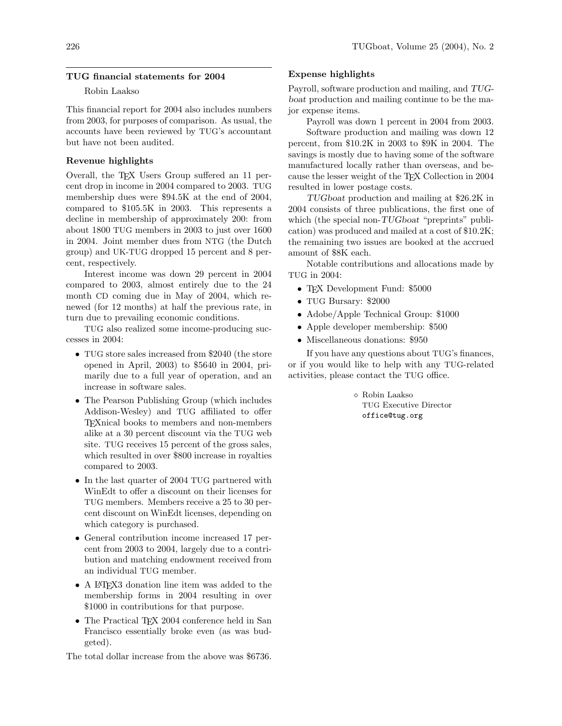#### TUG financial statements for 2004

# Robin Laakso

This financial report for 2004 also includes numbers from 2003, for purposes of comparison. As usual, the accounts have been reviewed by TUG's accountant but have not been audited.

# Revenue highlights

Overall, the TEX Users Group suffered an 11 percent drop in income in 2004 compared to 2003. TUG membership dues were \$94.5K at the end of 2004, compared to \$105.5K in 2003. This represents a decline in membership of approximately 200: from about 1800 TUG members in 2003 to just over 1600 in 2004. Joint member dues from NTG (the Dutch group) and UK-TUG dropped 15 percent and 8 percent, respectively.

Interest income was down 29 percent in 2004 compared to 2003, almost entirely due to the 24 month CD coming due in May of 2004, which renewed (for 12 months) at half the previous rate, in turn due to prevailing economic conditions.

TUG also realized some income-producing successes in 2004:

- TUG store sales increased from \$2040 (the store opened in April, 2003) to \$5640 in 2004, primarily due to a full year of operation, and an increase in software sales.
- The Pearson Publishing Group (which includes Addison-Wesley) and TUG affiliated to offer TEXnical books to members and non-members alike at a 30 percent discount via the TUG web site. TUG receives 15 percent of the gross sales, which resulted in over \$800 increase in royalties compared to 2003.
- In the last quarter of 2004 TUG partnered with WinEdt to offer a discount on their licenses for TUG members. Members receive a 25 to 30 percent discount on WinEdt licenses, depending on which category is purchased.
- General contribution income increased 17 percent from 2003 to 2004, largely due to a contribution and matching endowment received from an individual TUG member.
- A IATEX3 donation line item was added to the membership forms in 2004 resulting in over \$1000 in contributions for that purpose.
- The Practical T<sub>EX</sub> 2004 conference held in San Francisco essentially broke even (as was budgeted).

The total dollar increase from the above was \$6736.

## Expense highlights

Payroll, software production and mailing, and TUGboat production and mailing continue to be the major expense items.

Payroll was down 1 percent in 2004 from 2003.

Software production and mailing was down 12 percent, from \$10.2K in 2003 to \$9K in 2004. The savings is mostly due to having some of the software manufactured locally rather than overseas, and because the lesser weight of the TEX Collection in 2004 resulted in lower postage costs.

TUGboat production and mailing at \$26.2K in 2004 consists of three publications, the first one of which (the special non-TUGboat "preprints" publication) was produced and mailed at a cost of \$10.2K; the remaining two issues are booked at the accrued amount of \$8K each.

Notable contributions and allocations made by TUG in 2004:

- TFX Development Fund: \$5000
- TUG Bursary: \$2000
- Adobe/Apple Technical Group: \$1000
- Apple developer membership: \$500
- Miscellaneous donations: \$950

If you have any questions about TUG's finances, or if you would like to help with any TUG-related activities, please contact the TUG office.

> Robin Laakso TUG Executive Director office@tug.org